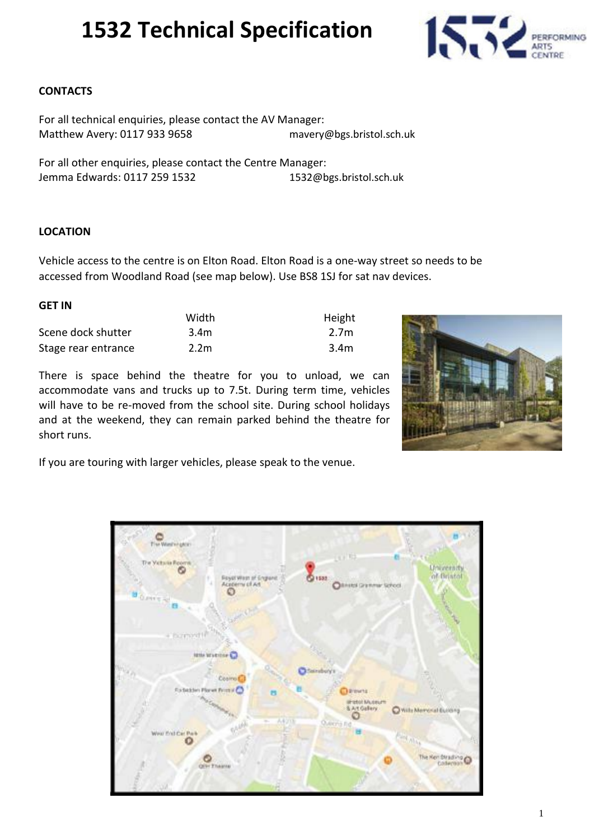

#### **CONTACTS**

For all technical enquiries, please contact the AV Manager: Matthew Avery: 0117 933 9658 mavery@bgs.bristol.sch.uk

For all other enquiries, please contact the Centre Manager: Jemma Edwards: 0117 259 1532 1537 1532@bgs.bristol.sch.uk

#### **LOCATION**

Vehicle access to the centre is on Elton Road. Elton Road is a one-way street so needs to be accessed from Woodland Road (see map below). Use BS8 1SJ for sat nav devices.

#### **GET IN**

|                     | Width            | Height |
|---------------------|------------------|--------|
| Scene dock shutter  | 3.4 <sub>m</sub> | 2.7m   |
| Stage rear entrance | 2.2 <sub>m</sub> | 3.4m   |

There is space behind the theatre for you to unload, we can accommodate vans and trucks up to 7.5t. During term time, vehicles will have to be re-moved from the school site. During school holidays and at the weekend, they can remain parked behind the theatre for short runs.



If you are touring with larger vehicles, please speak to the venue.

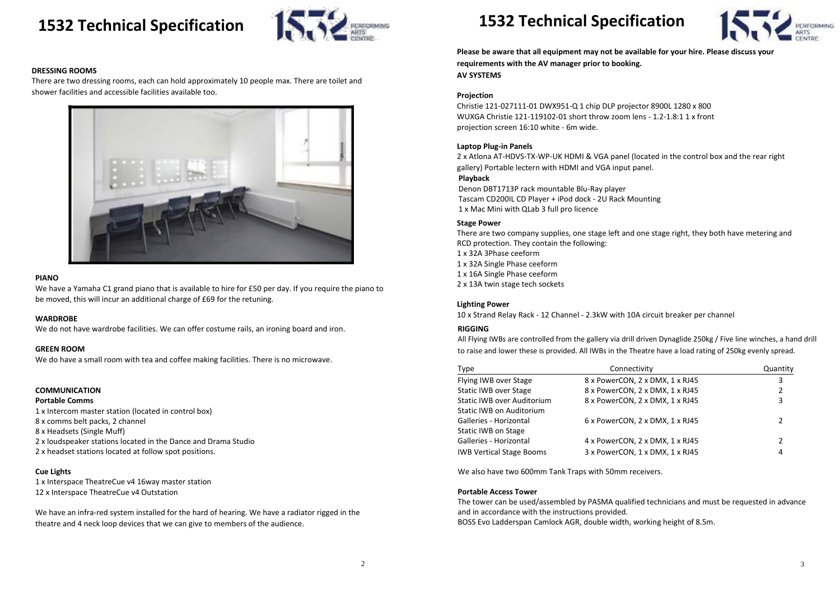

#### **DRESSING ROOMS**

There are two dressing rooms, each can hold approximately 10 people max. There are toilet and shower facilities and accessible facilities available too.



#### **PIANO**

We have a Yamaha C1 grand piano that is available to hire for £50 per day. If you require the piano to be moved, this will incur an additional charge of £69 for the retuning.

#### **WARDROBE**

We do not have wardrobe facilities. We can offer costume rails, an ironing board and iron.

#### **GREEN ROOM**

We do have a small room with tea and coffee making facilities. There is no microwave.

#### **COMMUNICATION**

#### **Portable Comms**

1 x Intercom master station (located in control box) 8 x comms belt packs, 2 channel 8 x Headsets (Single Muff) 2 x loudspeaker stations located in the Dance and Drama Studio 2 x headset stations located at follow spot positions.

#### **Cue Lights**

1 x Interspace TheatreCue v4 16way master station 12 x Interspace TheatreCue v4 Outstation

We have an infra-red system installed for the hard of hearing. We have a radiator rigged in the theatre and 4 neck loop devices that we can give to members of the audience.

## **1532 Technical Specification**

**Please be aware that all equipment may not be available for your hire. Please discuss your requirements with the AV manager prior to booking. AV SYSTEMS**

#### **Projection**

Christie 121-027111-01 DWX951-Q 1 chip DLP projector 8900L 1280 x 800 WUXGA Christie 121-119102-01 short throw zoom lens - 1.2-1.8:1 1 x front projection screen 16:10 white - 6m wide.

#### **Laptop Plug-in Panels**

2 x Atlona AT-HDVS-TX-WP-UK HDMI & VGA panel (located in the control box and the rear right gallery) Portable lectern with HDMI and VGA input panel. **Playback**

#### Denon DBT1713P rack mountable Blu-Ray player Tascam CD200IL CD Player + iPod dock - 2U Rack Mounting 1 x Mac Mini with QLab 3 full pro licence

#### **Stage Power**

There are two company supplies, one stage left and one stage right, they both have metering and RCD protection. They contain the following: 1 x 32A 3Phase ceeform 1 x 32A Single Phase ceeform

- 1 x 16A Single Phase ceeform
- 2 x 13A twin stage tech sockets

#### **Lighting Power**

10 x Strand Relay Rack - 12 Channel - 2.3kW with 10A circuit breaker per channel

#### **RIGGING**

All Flying IWBs are controlled from the gallery via drill driven Dynaglide 250kg / Five line winches, a hand drill to raise and lower these is provided. All IWBs in the Theatre have a load rating of 250kg evenly spread.

| Type                              | Connectivity                    | Quantity |
|-----------------------------------|---------------------------------|----------|
| Flying IWB over Stage             | 8 x PowerCON, 2 x DMX, 1 x RJ45 | 3        |
| <b>Static IWB over Stage</b>      | 8 x PowerCON, 2 x DMX, 1 x RJ45 | 2        |
| <b>Static IWB over Auditorium</b> | 8 x PowerCON, 2 x DMX, 1 x RJ45 | 3        |
| Static IWB on Auditorium          |                                 |          |
| Galleries - Horizontal            | 6 x PowerCON, 2 x DMX, 1 x RJ45 | 2        |
| <b>Static IWB on Stage</b>        |                                 |          |
| Galleries - Horizontal            | 4 x PowerCON, 2 x DMX, 1 x RJ45 | 2        |
| <b>IWB Vertical Stage Booms</b>   | 3 x PowerCON, 1 x DMX, 1 x RJ45 | 4        |
|                                   |                                 |          |

We also have two 600mm Tank Traps with 50mm receivers.

#### **Portable Access Tower**

The tower can be used/assembled by PASMA qualified technicians and must be requested in advance and in accordance with the instructions provided. BOSS Evo Ladderspan Camlock AGR, double width, working height of 8.5m.

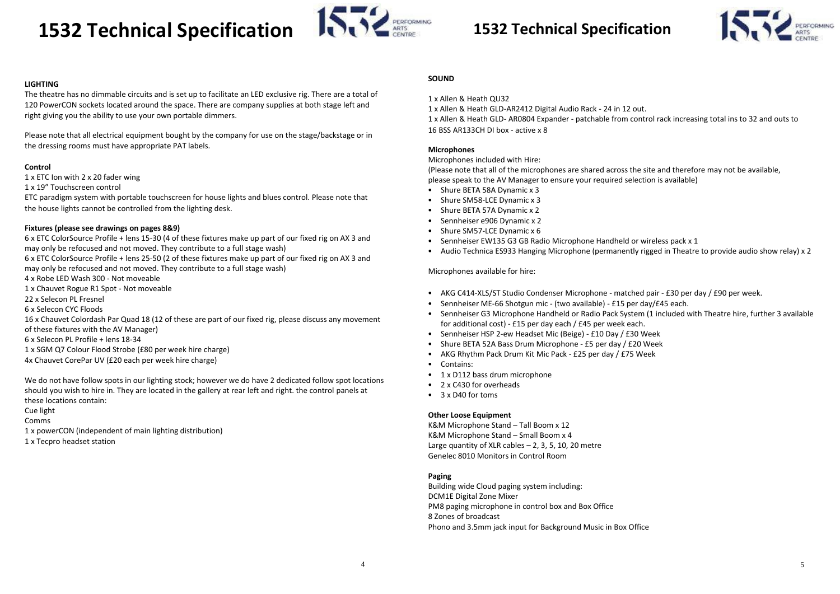# **1532 Technical Specification 1532 Technical Specification**



#### **LIGHTING**

The theatre has no dimmable circuits and is set up to facilitate an LED exclusive rig. There are a total of 120 PowerCON sockets located around the space. There are company supplies at both stage left and right giving you the ability to use your own portable dimmers.

Please note that all electrical equipment bought by the company for use on the stage/backstage or in the dressing rooms must have appropriate PAT labels.

#### **Control**

1 x ETC Ion with 2 x 20 fader wing

1 x 19" Touchscreen control

ETC paradigm system with portable touchscreen for house lights and blues control. Please note that the house lights cannot be controlled from the lighting desk.

#### **Fixtures (please see drawings on pages 8&9)**

6 x ETC ColorSource Profile + lens 15-30 (4 of these fixtures make up part of our fixed rig on AX 3 and may only be refocused and not moved. They contribute to a full stage wash) 6 x ETC ColorSource Profile + lens 25-50 (2 of these fixtures make up part of our fixed rig on AX 3 and may only be refocused and not moved. They contribute to a full stage wash) 4 x Robe LED Wash 300 - Not moveable

1 x Chauvet Rogue R1 Spot - Not moveable

22 x Selecon PL Fresnel

6 x Selecon CYC Floods

16 x Chauvet Colordash Par Quad 18 (12 of these are part of our fixed rig, please discuss any movement of these fixtures with the AV Manager)

6 x Selecon PL Profile + lens 18-34

- 1 x SGM Q7 Colour Flood Strobe (£80 per week hire charge)
- 4x Chauvet CorePar UV (£20 each per week hire charge)

We do not have follow spots in our lighting stock; however we do have 2 dedicated follow spot locations should you wish to hire in. They are located in the gallery at rear left and right. the control panels at these locations contain:

Cue light

Comms

- 1 x powerCON (independent of main lighting distribution)
- 1 x Tecpro headset station



#### **SOUND**

1 x Allen & Heath QU32

1 x Allen & Heath GLD-AR2412 Digital Audio Rack - 24 in 12 out. 1 x Allen & Heath GLD- AR0804 Expander - patchable from control rack increasing total ins to 32 and outs to 16 BSS AR133CH DI box - active x 8

#### **Microphones**

Microphones included with Hire:

(Please note that all of the microphones are shared across the site and therefore may not be available, please speak to the AV Manager to ensure your required selection is available)

- Shure BETA 58A Dynamic x 3
- Shure SM58-LCE Dynamic x 3
- Shure BETA 57A Dynamic x 2
- Sennheiser e906 Dynamic x 2
- Shure SM57-LCE Dynamic x 6
- Sennheiser EW135 G3 GB Radio Microphone Handheld or wireless pack x 1
- Audio Technica ES933 Hanging Microphone (permanently rigged in Theatre to provide audio show relay) x 2

Microphones available for hire:

- AKG C414-XLS/ST Studio Condenser Microphone matched pair £30 per day / £90 per week.
- Sennheiser ME-66 Shotgun mic (two available) £15 per day/£45 each.
- Sennheiser G3 Microphone Handheld or Radio Pack System (1 included with Theatre hire, further 3 available for additional cost) - £15 per day each / £45 per week each.
- Sennheiser HSP 2-ew Headset Mic (Beige) £10 Day / £30 Week
- Shure BETA 52A Bass Drum Microphone £5 per day / £20 Week
- AKG Rhythm Pack Drum Kit Mic Pack £25 per day / £75 Week
- Contains:
- 1 x D112 bass drum microphone
- 2 x C430 for overheads
- 3 x D40 for toms

#### **Other Loose Equipment**

K&M Microphone Stand – Tall Boom x 12 K&M Microphone Stand – Small Boom x 4 Large quantity of XLR cables  $- 2$ , 3, 5, 10, 20 metre Genelec 8010 Monitors in Control Room

#### **Paging**

Building wide Cloud paging system including: DCM1E Digital Zone Mixer PM8 paging microphone in control box and Box Office 8 Zones of broadcast Phono and 3.5mm jack input for Background Music in Box Office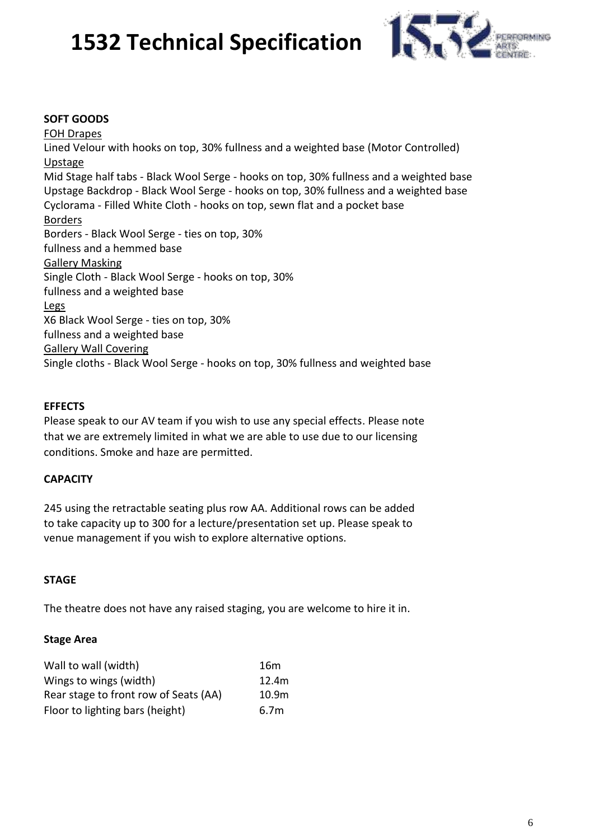

#### **SOFT GOODS**

FOH Drapes Lined Velour with hooks on top, 30% fullness and a weighted base (Motor Controlled) Upstage Mid Stage half tabs - Black Wool Serge - hooks on top, 30% fullness and a weighted base Upstage Backdrop - Black Wool Serge - hooks on top, 30% fullness and a weighted base Cyclorama - Filled White Cloth - hooks on top, sewn flat and a pocket base Borders Borders - Black Wool Serge - ties on top, 30% fullness and a hemmed base Gallery Masking Single Cloth - Black Wool Serge - hooks on top, 30% fullness and a weighted base Legs X6 Black Wool Serge - ties on top, 30% fullness and a weighted base Gallery Wall Covering Single cloths - Black Wool Serge - hooks on top, 30% fullness and weighted base

#### **EFFECTS**

Please speak to our AV team if you wish to use any special effects. Please note that we are extremely limited in what we are able to use due to our licensing conditions. Smoke and haze are permitted.

### **CAPACITY**

245 using the retractable seating plus row AA. Additional rows can be added to take capacity up to 300 for a lecture/presentation set up. Please speak to venue management if you wish to explore alternative options.

#### **STAGE**

The theatre does not have any raised staging, you are welcome to hire it in.

#### **Stage Area**

| Wall to wall (width)                  | 16m               |
|---------------------------------------|-------------------|
| Wings to wings (width)                | 12.4m             |
| Rear stage to front row of Seats (AA) | 10.9 <sub>m</sub> |
| Floor to lighting bars (height)       | 6.7 <sub>m</sub>  |